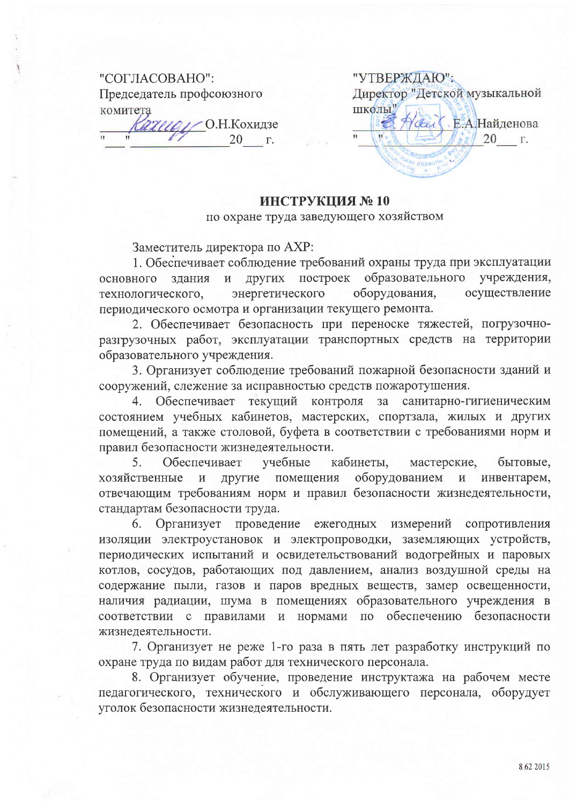## "СОГЛАСОВАНО": Председатель профсоюзного комитета //// О.Н.Кохидзе

20  $\Gamma.$ 

"УТВЕРЖДАЮ"; Директор "Детской музыкальной школы" Сел Е.А.Найденова  $\overline{\mathbf{H}}$ 20 r.

## ИНСТРУКЦИЯ №10

по охране труда заведующего хозяйством

Заместитель директора по АХР:

1. Обеспечивает соблюдение требований охраны труда при эксплуатации других построек образовательного учреждения,  $\overline{M}$ основного злания оборудования, осуществление энергетического технологического, периодического осмотра и организации текущего ремонта.

2. Обеспечивает безопасность при переноске тяжестей, погрузочноразгрузочных работ, эксплуатации транспортных средств на территории образовательного учреждения.

3. Организует соблюдение требований пожарной безопасности зданий и сооружений, слежение за исправностью средств пожаротушения.

4. Обеспечивает текущий контроля за санитарно-гигиеническим состоянием учебных кабинетов, мастерских, спортзала, жилых и других помещений, а также столовой, буфета в соответствии с требованиями норм и правил безопасности жизнедеятельности.

5. Обеспечивает учебные кабинеты, мастерские, бытовые, оборудованием другие помещения инвентарем, хозяйственные  $\overline{\mathbf{M}}$  $\overline{M}$ отвечающим требованиям норм и правил безопасности жизнедеятельности, стандартам безопасности труда.

Организует проведение ежегодных измерений сопротивления  $6.$ изоляции электроустановок и электропроводки, заземляющих устройств, периодических испытаний и освидетельствований водогрейных и паровых котлов, сосудов, работающих под давлением, анализ воздушной среды на содержание пыли, газов и паров вредных веществ, замер освещенности, наличия радиации, шума в помещениях образовательного учреждения в соответствии с правилами и нормами по обеспечению безопасности жизнедеятельности.

7. Организует не реже 1-го раза в пять лет разработку инструкций по охране труда по видам работ для технического персонала.

8. Организует обучение, проведение инструктажа на рабочем месте педагогического, технического и обслуживающего персонала, оборудует уголок безопасности жизнедеятельности.